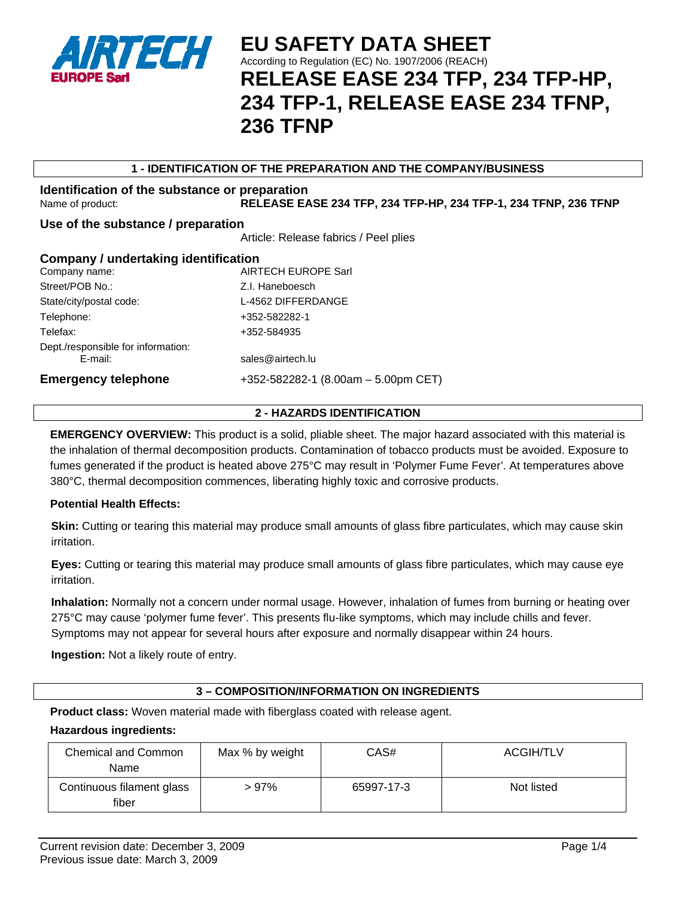

## **1 - IDENTIFICATION OF THE PREPARATION AND THE COMPANY/BUSINESS**

# **Identification of the substance or preparation**  Name of product: **RELEASE EASE 234 TFP, 234 TFP-HP, 234 TFP-1, 234 TFNP, 236 TFNP**

# **Use of the substance / preparation**

Article: Release fabrics / Peel plies

| Company / undertaking identification |                                       |  |
|--------------------------------------|---------------------------------------|--|
| Company name:                        | <b>AIRTECH EUROPE Sarl</b>            |  |
| Street/POB No.:                      | Z.I. Haneboesch                       |  |
| State/city/postal code:              | L-4562 DIFFERDANGE                    |  |
| Telephone:                           | +352-582282-1                         |  |
| Telefax:                             | +352-584935                           |  |
| Dept./responsible for information:   |                                       |  |
| E-mail:                              | sales@airtech.lu                      |  |
| <b>Emergency telephone</b>           | $+352-582282-1$ (8.00am - 5.00pm CET) |  |
|                                      |                                       |  |

# **2 - HAZARDS IDENTIFICATION**

**EMERGENCY OVERVIEW:** This product is a solid, pliable sheet. The major hazard associated with this material is the inhalation of thermal decomposition products. Contamination of tobacco products must be avoided. Exposure to fumes generated if the product is heated above 275°C may result in 'Polymer Fume Fever'. At temperatures above 380°C, thermal decomposition commences, liberating highly toxic and corrosive products.

#### **Potential Health Effects:**

**Skin:** Cutting or tearing this material may produce small amounts of glass fibre particulates, which may cause skin irritation.

**Eyes:** Cutting or tearing this material may produce small amounts of glass fibre particulates, which may cause eye irritation.

**Inhalation:** Normally not a concern under normal usage. However, inhalation of fumes from burning or heating over 275°C may cause 'polymer fume fever'. This presents flu-like symptoms, which may include chills and fever. Symptoms may not appear for several hours after exposure and normally disappear within 24 hours.

**Ingestion:** Not a likely route of entry.

# **3 – COMPOSITION/INFORMATION ON INGREDIENTS**

**Product class:** Woven material made with fiberglass coated with release agent.

#### **Hazardous ingredients:**

| <b>Chemical and Common</b><br>Name | Max % by weight | CAS#       | <b>ACGIH/TLV</b> |
|------------------------------------|-----------------|------------|------------------|
| Continuous filament glass<br>fiber | >97%            | 65997-17-3 | Not listed       |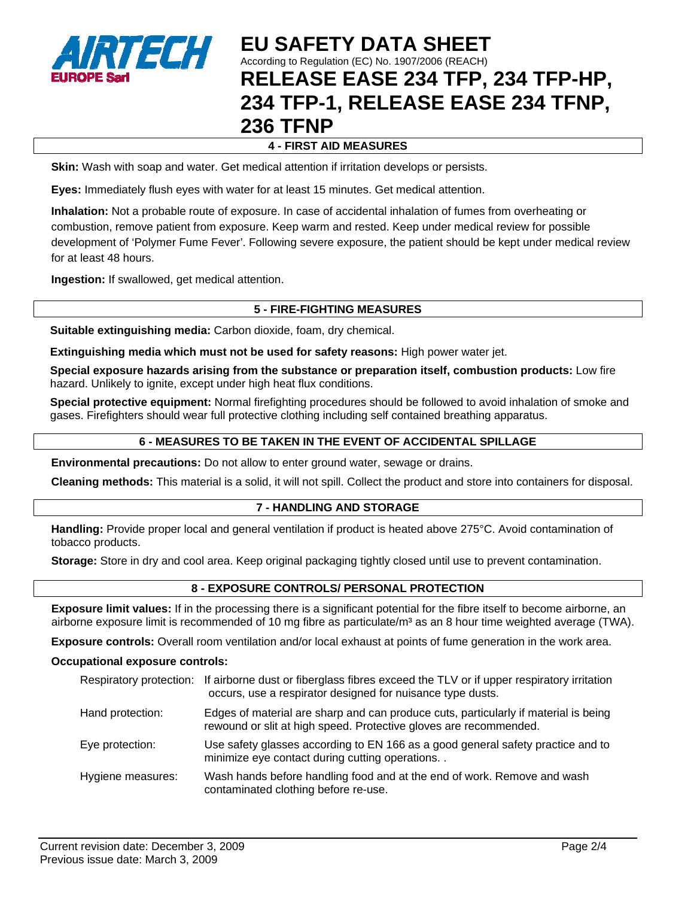

# **4 - FIRST AID MEASURES**

**Skin:** Wash with soap and water. Get medical attention if irritation develops or persists.

**Eyes:** Immediately flush eyes with water for at least 15 minutes. Get medical attention.

**Inhalation:** Not a probable route of exposure. In case of accidental inhalation of fumes from overheating or combustion, remove patient from exposure. Keep warm and rested. Keep under medical review for possible development of 'Polymer Fume Fever'. Following severe exposure, the patient should be kept under medical review for at least 48 hours.

**Ingestion:** If swallowed, get medical attention.

### **5 - FIRE-FIGHTING MEASURES**

**Suitable extinguishing media:** Carbon dioxide, foam, dry chemical.

**Extinguishing media which must not be used for safety reasons:** High power water jet.

**Special exposure hazards arising from the substance or preparation itself, combustion products:** Low fire hazard. Unlikely to ignite, except under high heat flux conditions.

**Special protective equipment:** Normal firefighting procedures should be followed to avoid inhalation of smoke and gases. Firefighters should wear full protective clothing including self contained breathing apparatus.

#### **6 - MEASURES TO BE TAKEN IN THE EVENT OF ACCIDENTAL SPILLAGE**

**Environmental precautions:** Do not allow to enter ground water, sewage or drains.

**Cleaning methods:** This material is a solid, it will not spill. Collect the product and store into containers for disposal.

#### **7 - HANDLING AND STORAGE**

**Handling:** Provide proper local and general ventilation if product is heated above 275°C. Avoid contamination of tobacco products.

**Storage:** Store in dry and cool area. Keep original packaging tightly closed until use to prevent contamination.

#### **8 - EXPOSURE CONTROLS/ PERSONAL PROTECTION**

**Exposure limit values:** If in the processing there is a significant potential for the fibre itself to become airborne, an airborne exposure limit is recommended of 10 mg fibre as particulate/ $m<sup>3</sup>$  as an 8 hour time weighted average (TWA).

**Exposure controls:** Overall room ventilation and/or local exhaust at points of fume generation in the work area.

#### **Occupational exposure controls:**

|                   | Respiratory protection: If airborne dust or fiberglass fibres exceed the TLV or if upper respiratory irritation<br>occurs, use a respirator designed for nuisance type dusts. |
|-------------------|-------------------------------------------------------------------------------------------------------------------------------------------------------------------------------|
| Hand protection:  | Edges of material are sharp and can produce cuts, particularly if material is being<br>rewound or slit at high speed. Protective gloves are recommended.                      |
| Eye protection:   | Use safety glasses according to EN 166 as a good general safety practice and to<br>minimize eye contact during cutting operations                                             |
| Hygiene measures: | Wash hands before handling food and at the end of work. Remove and wash<br>contaminated clothing before re-use.                                                               |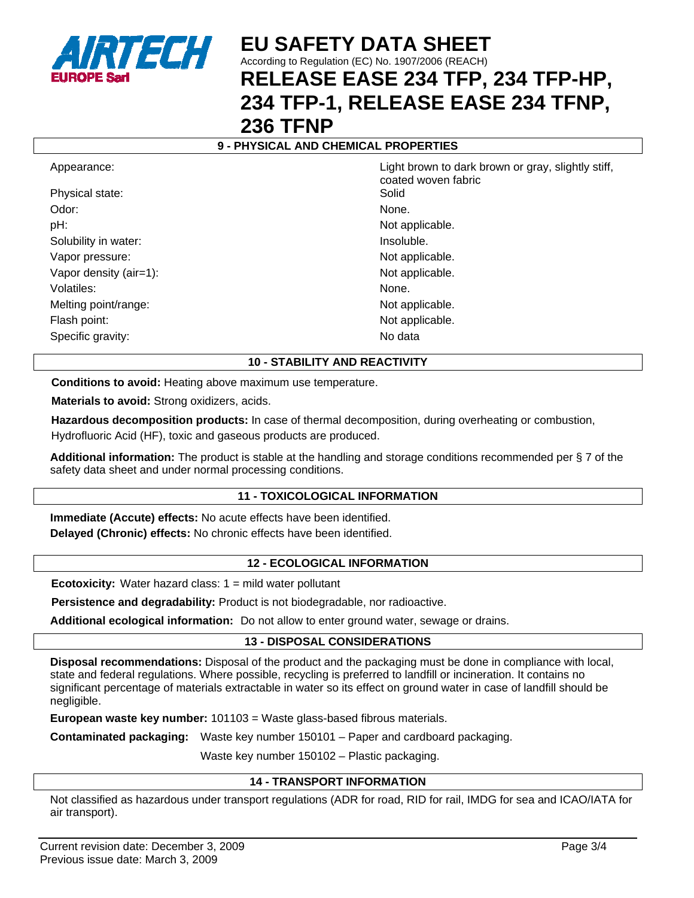

# **9 - PHYSICAL AND CHEMICAL PROPERTIES**

Physical state: Solid Odor: None. None. None. None. None. None. None. None. None. None. None. None. None. None. None. None. None. None.  $\mathbb{R}^n$ pH:  $\blacksquare$ Solubility in water:  $\blacksquare$ Vapor pressure: Not applicable. Vapor density (air=1): Not applicable. Volatiles: None. Melting point/range: Not applicable. Flash point: Not applicable. The set of the set of the set of the set of the set of the set of the set of the set of the set of the set of the set of the set of the set of the set of the set of the set of the set of the se Specific gravity: No data

Appearance: And the Light brown to dark brown or gray, slightly stiff, coated woven fabric

# **10 - STABILITY AND REACTIVITY**

**Conditions to avoid:** Heating above maximum use temperature.

**Materials to avoid:** Strong oxidizers, acids.

**Hazardous decomposition products:** In case of thermal decomposition, during overheating or combustion, Hydrofluoric Acid (HF), toxic and gaseous products are produced.

**Additional information:** The product is stable at the handling and storage conditions recommended per § 7 of the safety data sheet and under normal processing conditions.

# **11 - TOXICOLOGICAL INFORMATION**

**Immediate (Accute) effects:** No acute effects have been identified. **Delayed (Chronic) effects:** No chronic effects have been identified.

#### **12 - ECOLOGICAL INFORMATION**

**Ecotoxicity:** Water hazard class: 1 = mild water pollutant

**Persistence and degradability:** Product is not biodegradable, nor radioactive.

**Additional ecological information:** Do not allow to enter ground water, sewage or drains.

# **13 - DISPOSAL CONSIDERATIONS**

**Disposal recommendations:** Disposal of the product and the packaging must be done in compliance with local, state and federal regulations. Where possible, recycling is preferred to landfill or incineration. It contains no significant percentage of materials extractable in water so its effect on ground water in case of landfill should be negligible.

**European waste key number:** 101103 = Waste glass-based fibrous materials.

**Contaminated packaging:** Waste key number 150101 – Paper and cardboard packaging.

Waste key number 150102 – Plastic packaging.

#### **14 - TRANSPORT INFORMATION**

Not classified as hazardous under transport regulations (ADR for road, RID for rail, IMDG for sea and ICAO/IATA for air transport).